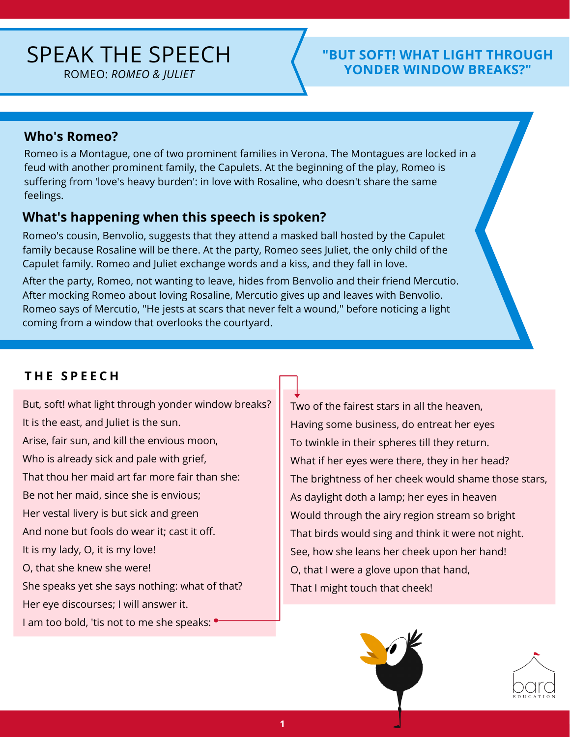# SPEAK THE SPEECH

ROMEO: *ROMEO & JULIET*

#### **"BUT SOFT! WHAT LIGHT THROUGH YONDER WINDOW BREAKS?"**

#### **Who's Romeo?**

Romeo is a Montague, one of two prominent families in Verona. The Montagues are locked in a feud with another prominent family, the Capulets. At the beginning of the play, Romeo is suffering from 'love's heavy burden': in love with Rosaline, who doesn't share the same feelings.

#### **What's happening when this speech is spoken?**

Romeo's cousin, Benvolio, suggests that they attend a masked ball hosted by the Capulet family because Rosaline will be there. At the party, Romeo sees Juliet, the only child of the Capulet family. Romeo and Juliet exchange words and a kiss, and they fall in love.

After the party, Romeo, not wanting to leave, hides from Benvolio and their friend Mercutio. After mocking Romeo about loving Rosaline, Mercutio gives up and leaves with Benvolio. Romeo says of Mercutio, "He jests at scars that never felt a wound," before noticing a light coming from a window that overlooks the courtyard.

#### **T H E S P E E C H**

But, soft! what light through yonder window breaks? It is the east, and Juliet is the sun. Arise, fair sun, and kill the envious moon, Who is already sick and pale with grief, That thou her maid art far more fair than she: Be not her maid, since she is envious; Her vestal livery is but sick and green And none but fools do wear it; cast it off. It is my lady, O, it is my love! O, that she knew she were! She speaks yet she says nothing: what of that? Her eye discourses; I will answer it. I am too bold, 'tis not to me she speaks:  $\bullet$ 

Two of the fairest stars in all the heaven, Having some business, do entreat her eyes To twinkle in their spheres till they return. What if her eyes were there, they in her head? The brightness of her cheek would shame those stars, As daylight doth a lamp; her eyes in heaven Would through the airy region stream so bright That birds would sing and think it were not night. See, how she leans her cheek upon her hand! O, that I were a glove upon that hand, That I might touch that cheek!



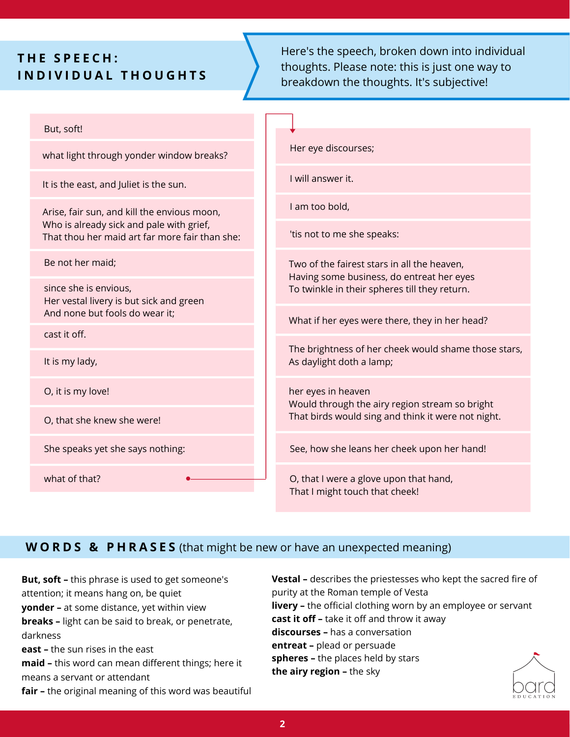### **T H E S P E E C H : I N D I V I D U A L T H O U G H T S**

Here's the speech, broken down into individual thoughts. Please note: this is just one way to breakdown the thoughts. It's subjective!

| But, soft!                                                                                                                                |                                                                                          |
|-------------------------------------------------------------------------------------------------------------------------------------------|------------------------------------------------------------------------------------------|
| what light through yonder window breaks?                                                                                                  | Her eye discourses;                                                                      |
| It is the east, and Juliet is the sun.                                                                                                    | I will answer it.                                                                        |
| Arise, fair sun, and kill the envious moon,<br>Who is already sick and pale with grief,<br>That thou her maid art far more fair than she: | I am too bold,                                                                           |
|                                                                                                                                           | 'tis not to me she speaks:                                                               |
| Be not her maid;                                                                                                                          | Two of the fairest stars in all the heaven,<br>Having some business, do entreat her eyes |
| since she is envious,<br>Her vestal livery is but sick and green                                                                          | To twinkle in their spheres till they return.                                            |
| And none but fools do wear it;                                                                                                            | What if her eyes were there, they in her head?                                           |
| cast it off.                                                                                                                              |                                                                                          |
| It is my lady,                                                                                                                            | The brightness of her cheek would shame those stars,<br>As daylight doth a lamp;         |
| O, it is my love!                                                                                                                         | her eyes in heaven<br>Would through the airy region stream so bright                     |
| O, that she knew she were!                                                                                                                | That birds would sing and think it were not night.                                       |
| She speaks yet she says nothing:                                                                                                          | See, how she leans her cheek upon her hand!                                              |
| what of that?                                                                                                                             | O, that I were a glove upon that hand,<br>That I might touch that cheek!                 |

#### **W O R D S & P H R A S E S** (that might be new or have an unexpected meaning)

**But, soft –** this phrase is used to get someone's attention; it means hang on, be quiet **yonder –** at some distance, yet within view **breaks –** light can be said to break, or penetrate, darkness **east –** the sun rises in the east **maid –** this word can mean different things; here it means a servant or attendant

**fair –** the original meaning of this word was beautiful

**Vestal –** describes the priestesses who kept the sacred fire of purity at the Roman temple of Vesta **livery –** the official clothing worn by an employee or servant **cast it off –** take it off and throw it away **discourses –** has a conversation **entreat –** plead or persuade **spheres –** the places held by stars **the airy region –** the sky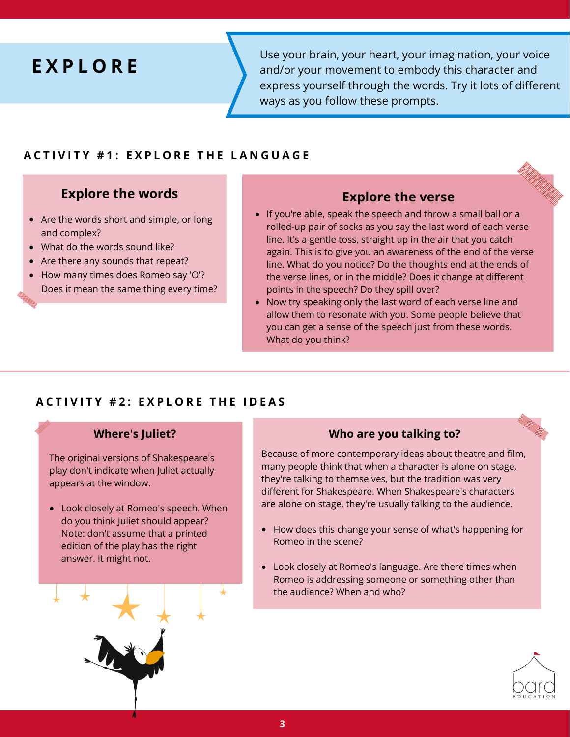## **E X P L O R E**

Use your brain, your heart, your imagination, your voice and/or your movement to embody this character and express yourself through the words. Try it lots of different ways as you follow these prompts.

#### **ACTIVITY #1: FXPLORE THE LANGUAGE**

### **Explore the words Explore the verse**

- Are the words short and simple, or long and complex?
- What do the words sound like?
- Are there any sounds that repeat?
- How many times does Romeo say 'O'? Does it mean the same thing every time?

- If you're able, speak the speech and throw a small ball or a rolled-up pair of socks as you say the last word of each verse line. It's a gentle toss, straight up in the air that you catch again. This is to give you an awareness of the end of the verse line. What do you notice? Do the thoughts end at the ends of the verse lines, or in the middle? Does it change at different points in the speech? Do they spill over?
- Now try speaking only the last word of each verse line and allow them to resonate with you. Some people believe that you can get a sense of the speech just from these words. What do you think?

#### **ACTIVITY #2: EXPLORE THE IDEAS**

The original versions of Shakespeare's play don't indicate when Juliet actually appears at the window.

do you think Juliet should appear? Note: don't assume that a printed edition of the play has the right answer. It might not.



#### **Where's Juliet? Who are you talking to?**

Because of more contemporary ideas about theatre and film, many people think that when a character is alone on stage, they're talking to themselves, but the tradition was very different for Shakespeare. When Shakespeare's characters • Look closely at Romeo's speech. When are alone on stage, they're usually talking to the audience.

- How does this change your sense of what's happening for Romeo in the scene?
- Look closely at Romeo's language. Are there times when Romeo is addressing someone or something other than the audience? When and who?